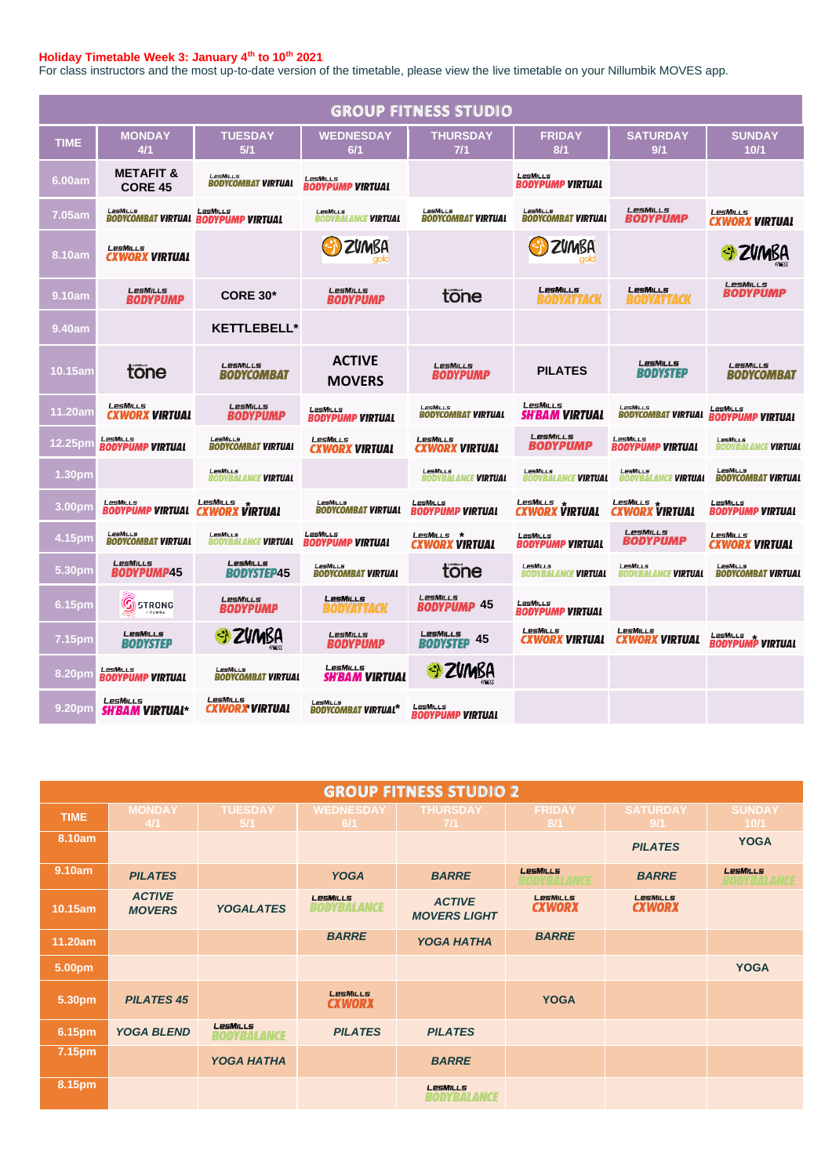## **Holiday Timetable Week 3: January 4th to 10th 2021**

For class instructors and the most up-to-date version of the timetable, please view the live timetable on your Nillumbik MOVES app.

| <b>GROUP FITNESS STUDIO</b> |                                            |                                                 |                                               |                                               |                                               |                                               |                                              |  |  |
|-----------------------------|--------------------------------------------|-------------------------------------------------|-----------------------------------------------|-----------------------------------------------|-----------------------------------------------|-----------------------------------------------|----------------------------------------------|--|--|
| <b>TIME</b>                 | <b>MONDAY</b><br>4/1                       | <b>TUESDAY</b><br>5/1                           | <b>WEDNESDAY</b><br>6/1                       | <b>THURSDAY</b><br>$7/1$                      | <b>FRIDAY</b><br>8/1                          | <b>SATURDAY</b><br>9/1                        | <b>SUNDAY</b><br>10/1                        |  |  |
| 6.00am                      | <b>METAFIT &amp;</b><br><b>CORE 45</b>     | LesMills<br><b>BODYCOMBAT VIRTUAL</b>           | LesMILLS<br><b>BODYPUMP VIRTUAL</b>           |                                               | LesMills<br><b>BODYPUMP VIRTUAL</b>           |                                               |                                              |  |  |
| 7.05am                      | LesMills                                   | LesMills<br>BODYCOMBAT VIRTUAL BODYPUMP VIRTUAL | <b>LesMiLLs</b><br><b>BODYBALANCE VIRTUAL</b> | LesMILLs<br><b>BODYCOMBAT VIRTUAL</b>         | <b>LesMILLs</b><br><b>BODYCOMBAT VIRTUAL</b>  | LesMills<br><b>BODYPUMP</b>                   | LesMills<br><b>CXWORX VIRTUAL</b>            |  |  |
| 8.10am                      | LesMills<br><b>CXWORX VIRTUAL</b>          |                                                 | ZVMBA                                         |                                               | ZVMBA                                         |                                               | ZVMBA                                        |  |  |
| 9.10am                      | LesMills<br>BODYPUMP                       | <b>CORE 30*</b>                                 | LesMills<br><b>BODYPUMP</b>                   | tone                                          | <b>LesMiLLs</b><br>BODYATTACK                 | LesMILLs<br>BODYATTACK                        | LesMILLs<br><b>BODYPUMP</b>                  |  |  |
| 9.40am                      |                                            | <b>KETTLEBELL*</b>                              |                                               |                                               |                                               |                                               |                                              |  |  |
| 10.15am                     | tone                                       | LesMILLS<br><b>BODYCOMBAT</b>                   | <b>ACTIVE</b><br><b>MOVERS</b>                | <b>LesMILLS</b><br><b>BODYPUMP</b>            | <b>PILATES</b>                                | LesMills<br><b>BODYSTEP</b>                   | LesMILLs<br><b>BODYCOMBAT</b>                |  |  |
| 11.20am                     | LesMILLS<br><b>CXWORX VIRTUAL</b>          | LesMills<br>BODYPUMP                            | LesMiLLs<br><b>BODYPUMP VIRTUAL</b>           | LesMills<br><b>BODYCOMBAT VIRTUAL</b>         | <b>LesMills</b><br>SH'BAM VIRTUAL             | LesMILLs<br><b>BODYCOMBAT VIRTUAL</b>         | LesMills<br>BODYPUMP VIRTUAL                 |  |  |
| 12.25pm                     | LesMiLLs<br><b>BODYPUMP VIRTUAL</b>        | <b>LesMILLs</b><br><b>BODYCOMBAT VIRTUAL</b>    | LesMills<br><b>CXWORX VIRTUAL</b>             | LesMILLs<br><b>CXWORX VIRTUAL</b>             | LesMILLs<br>BODYPUMP                          | LesMills<br><b>BODYPUMP VIRTUAL</b>           | LesMills<br>BODYBALANCE <b>VIRTUAL</b>       |  |  |
| 1.30pm                      |                                            | LesMiLLs<br><b>BODYBALANCE VIRTUAL</b>          |                                               | <b>LESMILLS</b><br><b>BODYBALANCE VIRTUAL</b> | <b>LesMiLLs</b><br><b>BODYBALANCE VIRTUAL</b> | <b>LesMILLS</b><br><b>BODYBALANCE VIRTUAL</b> | <b>LPSMILLS</b><br><b>BODYCOMBAT VIRTUAL</b> |  |  |
| 3.00pm                      | LesMills<br><b>BODYPUMP VIRTUAL</b>        | <b>LESMILLS</b><br><b>CXWORX VIRTUAL</b>        | LesMills<br>BODYCOMBAT VIRTUAL                | LesMills<br>BODYPUMP VIRTUAL                  | LesMills<br>CXWORX VIRTUAL                    | LESMILLS<br><b>CXWORX VIRTUAL</b>             | LesMills<br><b>BODYPUMP VIRTUAL</b>          |  |  |
| 4.15pm                      | LesMills<br>BODYCOMBAT VIRTUAL             | LesMills<br><b>ANCE VIRTUAL</b><br>BODYBAL      | LesMills<br><b>BODYPUMP VIRTUAL</b>           | LesMills *<br>CXWORX VIRTUAL                  | LesMills<br><b>BODYPUMP VIRTUAL</b>           | LesMills<br>BODYPUMP                          | LesMills<br>CXWORX VIRTUAL                   |  |  |
| 5.30pm                      | LesMills<br>BODYPUMP45                     | LesMILLS<br><b>BODYSTEP45</b>                   | <b>LesMILLs</b><br><b>BODYCOMBAT VIRTUAL</b>  | tone                                          | <b>LesMiLLs</b><br><b>BODYBALANCE VIRTUAL</b> | <b>LesMiLLs</b><br>BODYBALANCE <b>VIRTUAL</b> | <b>LesMILLs</b><br><b>BODYCOMBAT VIRTUAL</b> |  |  |
| 6.15pm                      | $\widehat{\mathbb{G}}$ strong<br>$-2$ umba | LesMills<br><b>BODYPUMP</b>                     | <b>LESMILLS</b><br><i><b>DYATTACK</b></i>     | LesMILLs<br><b>BODYPUMP 45</b>                | LesMiLLs<br><b>BODYPUMP VIRTUAL</b>           |                                               |                                              |  |  |
| 7.15pm                      | LesMILLs<br><b>BODYSTEP</b>                | SI ZVMBA                                        | LesMills<br>BODYPUMP                          | LesMILLs<br>45<br><b>BODYSTEP</b>             | LesMILLS<br>CXWORX VIRTUAL                    | LesMILLS<br><b>CXWORX VIRTUAL</b>             | LESMILLS<br><b>BODYPUMP VIRTUAL</b>          |  |  |
| 8.20pm                      | LesMills<br><b>BODYPUMP VIRTUAL</b>        | LesMills<br><b>BODYCOMBAT VIRTUAL</b>           | LesMills<br><b>SH'BAM VIRTUAL</b>             | <b>ZVMBA</b><br>$\Diamond$                    |                                               |                                               |                                              |  |  |
| 9.20pm                      | <b>LesMILLs</b><br><b>SH'BAM VIRTUAL*</b>  | LesMills<br><b>CXWORX VIRTUAL</b>               | <b>LesMILLS</b><br>BODYCOMBAT VIRTUAL*        | LesMills<br>RODYPIIMP VIRTIIAL                |                                               |                                               |                                              |  |  |

| <b>GROUP FITNESS STUDIO 2</b> |                                |                                |                                  |                                      |                              |                           |                         |  |
|-------------------------------|--------------------------------|--------------------------------|----------------------------------|--------------------------------------|------------------------------|---------------------------|-------------------------|--|
| <b>TIME</b>                   | <b>MONDAY</b><br>4/1           | <b>TUESDAY</b><br>5/1          | <b>WEDNESDAY</b><br>6/1          | <b>THURSDAY</b><br>$7/1$             | <b>FRIDAY</b><br>8/1         | <b>SATURDAY</b><br>9/1    | <b>SUNDAY</b><br>10/1   |  |
| 8.10am                        |                                |                                |                                  |                                      |                              | <b>PILATES</b>            | <b>YOGA</b>             |  |
| 9.10am                        | <b>PILATES</b>                 |                                | <b>YOGA</b>                      | <b>BARRE</b>                         | LesMiLLs<br>10DY 341 4 1 1 4 | <b>BARRE</b>              | LesMILLs<br>BODYBALARGE |  |
| 10.15am                       | <b>ACTIVE</b><br><b>MOVERS</b> | <b>YOGALATES</b>               | LesMILLs<br><b>BODYBALANCE</b>   | <b>ACTIVE</b><br><b>MOVERS LIGHT</b> | LesMILLS<br><b>CXWORX</b>    | LesMILLS<br><b>CXWORX</b> |                         |  |
| 11.20am                       |                                |                                | <b>BARRE</b>                     | <b>YOGA HATHA</b>                    | <b>BARRE</b>                 |                           |                         |  |
| 5.00pm                        |                                |                                |                                  |                                      |                              |                           | <b>YOGA</b>             |  |
| 5.30pm                        | <b>PILATES 45</b>              |                                | <b>LesMILLS</b><br><b>CXWORX</b> |                                      | <b>YOGA</b>                  |                           |                         |  |
| 6.15pm                        | <b>YOGA BLEND</b>              | LesMILLs<br><b>BODYBALANCE</b> | <b>PILATES</b>                   | <b>PILATES</b>                       |                              |                           |                         |  |
| 7.15pm                        |                                | <b>YOGA HATHA</b>              |                                  | <b>BARRE</b>                         |                              |                           |                         |  |
| 8.15pm                        |                                |                                |                                  | LesMills<br><b>BODYBALANCE</b>       |                              |                           |                         |  |